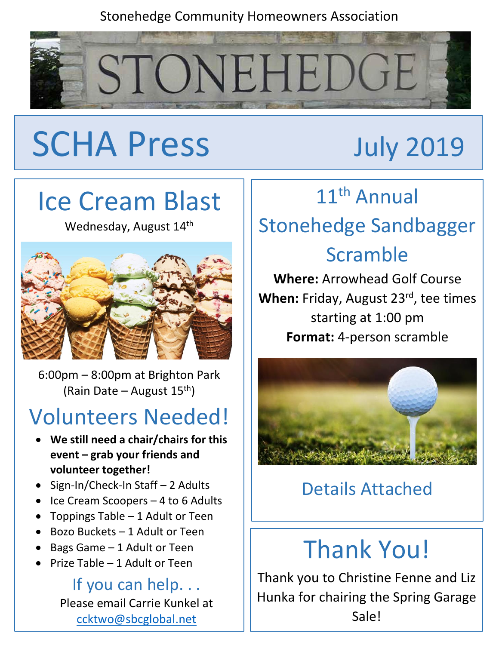#### Stonehedge Community Homeowners Association



# SCHA Press July 2019

## Ice Cream Blast

Wednesday, August 14<sup>th</sup>



6:00pm – 8:00pm at Brighton Park (Rain Date – August 15<sup>th</sup>)

## Volunteers Needed!

- **We still need a chair/chairs for this event – grab your friends and volunteer together!**
- Sign-In/Check-In Staff 2 Adults
- Ice Cream Scoopers 4 to 6 Adults
- Toppings Table 1 Adult or Teen
- Bozo Buckets 1 Adult or Teen
- Bags Game 1 Adult or Teen
- Prize Table 1 Adult or Teen

If you can help. . . Please email Carrie Kunkel at [ccktwo@sbcglobal.net](mailto:ccktwo@sbcglobal.net)

## 11<sup>th</sup> Annual

## Stonehedge Sandbagger Scramble

**Where:** Arrowhead Golf Course When: Friday, August 23<sup>rd</sup>, tee times starting at 1:00 pm **Format:** 4-person scramble



#### Details Attached

## Thank You!

Thank you to Christine Fenne and Liz Hunka for chairing the Spring Garage Sale!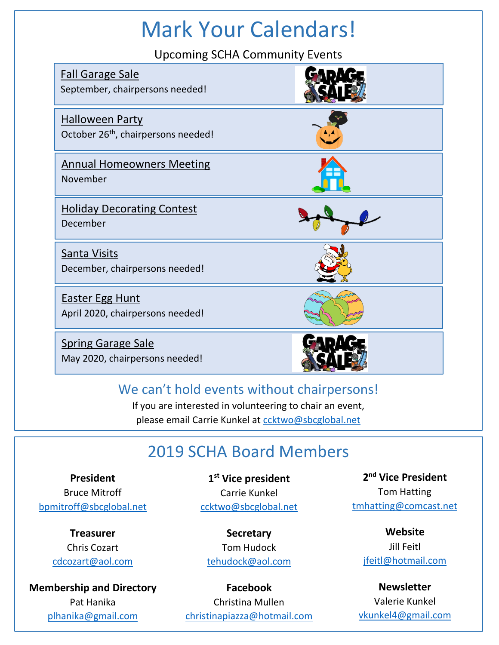## Mark Your Calendars!

Upcoming SCHA Community Events

| <b>Fall Garage Sale</b><br>September, chairpersons needed!                |  |
|---------------------------------------------------------------------------|--|
| <b>Halloween Party</b><br>October 26 <sup>th</sup> , chairpersons needed! |  |
| <b>Annual Homeowners Meeting</b><br>November                              |  |
| <b>Holiday Decorating Contest</b><br>December                             |  |
| Santa Visits<br>December, chairpersons needed!                            |  |
| <b>Easter Egg Hunt</b><br>April 2020, chairpersons needed!                |  |
| <b>Spring Garage Sale</b><br>May 2020, chairpersons needed!               |  |

#### We can't hold events without chairpersons!

If you are interested in volunteering to chair an event, please email Carrie Kunkel at coktwo@sbcglobal.net

#### 2019 SCHA Board Members

**President** Bruce Mitroff [bpmitroff@sbcglobal.net](mailto:bpmitroff@sbcglobal.net)

Lkfjksdl

**Treasurer** Chris Cozart [cdcozart@aol.com](mailto:cdcozart@aol.com)

**Membership and Directory**  Pat Hanika pl[hanika@gmail.com](mailto:pathanika@gmail.com) 

**1 st Vice president** Carrie Kunkel [ccktwo@sbcglobal.net](mailto:ccktwo@sbcglobal.net)

**Secretary** Tom Hudock [tehudock@aol.com](mailto:tehudock@aol.com)

**Facebook** Christina Mullen [christinapiazza@hotmail.com](mailto:christinapiazza@hotmail.com)

**2 nd Vice President** Tom Hatting [tmhatting@comcast.net](mailto:tmhatting@comcast.net)

**Website** Jill Feitl [jfeitl@hotmail.com](mailto:jfeitl@hotmail.com)

**Newsletter** Valerie Kunkel [vkunkel4@gmail.com](mailto:vkunkel4@gmail.com)